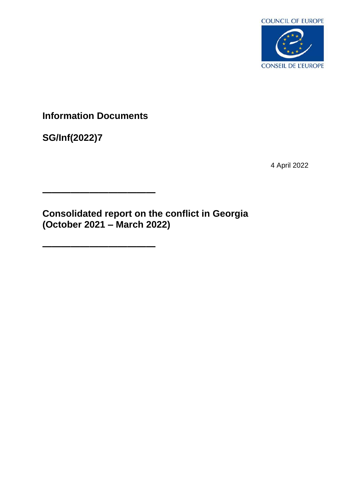

**Information Documents**

**————————————**

**————————————**

**SG/Inf(2022)7**

4 April 2022

**Consolidated report on the conflict in Georgia (October 2021 – March 2022)**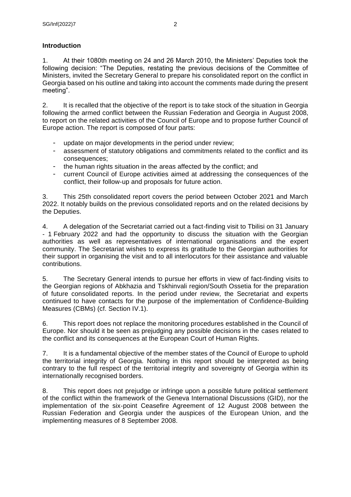# **Introduction**

1. At their 1080th meeting on 24 and 26 March 2010, the Ministers' Deputies took the following decision: "The Deputies, restating the previous decisions of the Committee of Ministers, invited the Secretary General to prepare his consolidated report on the conflict in Georgia based on his outline and taking into account the comments made during the present meeting".

2. It is recalled that the objective of the report is to take stock of the situation in Georgia following the armed conflict between the Russian Federation and Georgia in August 2008, to report on the related activities of the Council of Europe and to propose further Council of Europe action. The report is composed of four parts:

- update on major developments in the period under review;
- assessment of statutory obligations and commitments related to the conflict and its consequences;
- the human rights situation in the areas affected by the conflict; and
- current Council of Europe activities aimed at addressing the consequences of the conflict, their follow-up and proposals for future action.

3. This 25th consolidated report covers the period between October 2021 and March 2022. It notably builds on the previous consolidated reports and on the related decisions by the Deputies.

4. A delegation of the Secretariat carried out a fact-finding visit to Tbilisi on 31 January - 1 February 2022 and had the opportunity to discuss the situation with the Georgian authorities as well as representatives of international organisations and the expert community. The Secretariat wishes to express its gratitude to the Georgian authorities for their support in organising the visit and to all interlocutors for their assistance and valuable contributions.

5. The Secretary General intends to pursue her efforts in view of fact-finding visits to the Georgian regions of Abkhazia and Tskhinvali region/South Ossetia for the preparation of future consolidated reports. In the period under review, the Secretariat and experts continued to have contacts for the purpose of the implementation of Confidence-Building Measures (CBMs) (cf. Section IV.1).

6. This report does not replace the monitoring procedures established in the Council of Europe. Nor should it be seen as prejudging any possible decisions in the cases related to the conflict and its consequences at the European Court of Human Rights.

7. It is a fundamental objective of the member states of the Council of Europe to uphold the territorial integrity of Georgia. Nothing in this report should be interpreted as being contrary to the full respect of the territorial integrity and sovereignty of Georgia within its internationally recognised borders.

8. This report does not prejudge or infringe upon a possible future political settlement of the conflict within the framework of the Geneva International Discussions (GID), nor the implementation of the six-point Ceasefire Agreement of 12 August 2008 between the Russian Federation and Georgia under the auspices of the European Union, and the implementing measures of 8 September 2008.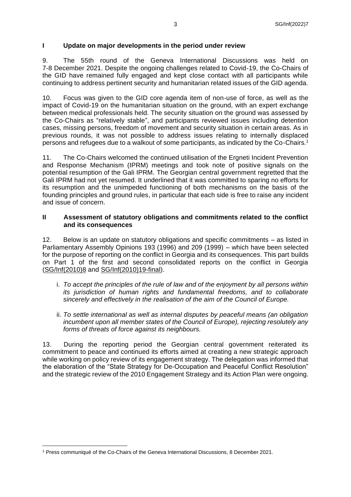## **I Update on major developments in the period under review**

9. The 55th round of the Geneva International Discussions was held on 7-8 December 2021. Despite the ongoing challenges related to Covid-19, the Co-Chairs of the GID have remained fully engaged and kept close contact with all participants while continuing to address pertinent security and humanitarian related issues of the GID agenda.

10. Focus was given to the GID core agenda item of non-use of force, as well as the impact of Covid-19 on the humanitarian situation on the ground, with an expert exchange between medical professionals held. The security situation on the ground was assessed by the Co-Chairs as "relatively stable", and participants reviewed issues including detention cases, missing persons, freedom of movement and security situation in certain areas. As in previous rounds, it was not possible to address issues relating to internally displaced persons and refugees due to a walkout of some participants, as indicated by the Co-Chairs.<sup>1</sup>

11. The Co-Chairs welcomed the continued utilisation of the Ergneti Incident Prevention and Response Mechanism (IPRM) meetings and took note of positive signals on the potential resumption of the Gali IPRM. The Georgian central government regretted that the Gali IPRM had not yet resumed. It underlined that it was committed to sparing no efforts for its resumption and the unimpeded functioning of both mechanisms on the basis of the founding principles and ground rules, in particular that each side is free to raise any incident and issue of concern.

### **II Assessment of statutory obligations and commitments related to the conflict and its consequences**

12. Below is an update on statutory obligations and specific commitments – as listed in Parliamentary Assembly Opinions 193 (1996) and 209 (1999) – which have been selected for the purpose of reporting on the conflict in Georgia and its consequences. This part builds on Part 1 of the first and second consolidated reports on the conflict in Georgia [\(SG/Inf\(2010\)8](https://search.coe.int/cm/Pages/result_details.aspx?Reference=SG/Inf(2010)8) and [SG/Inf\(2010\)19-final\)](https://search.coe.int/cm/Pages/result_details.aspx?ObjectId=09000016805ce073).

- i. *To accept the principles of the rule of law and of the enjoyment by all persons within its jurisdiction of human rights and fundamental freedoms, and to collaborate sincerely and effectively in the realisation of the aim of the Council of Europe.*
- ii. *To settle international as well as internal disputes by peaceful means (an obligation incumbent upon all member states of the Council of Europe), rejecting resolutely any forms of threats of force against its neighbours.*

13. During the reporting period the Georgian central government reiterated its commitment to peace and continued its efforts aimed at creating a new strategic approach while working on policy review of its engagement strategy. The delegation was informed that the elaboration of the "State Strategy for De-Occupation and Peaceful Conflict Resolution" and the strategic review of the 2010 Engagement Strategy and its Action Plan were ongoing.

<sup>1</sup> Press communiqué of the Co-Chairs of the Geneva International Discussions, 8 December 2021.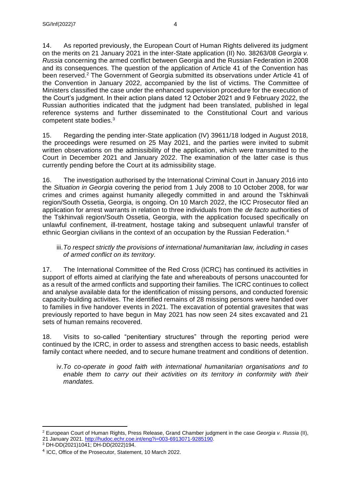14. As reported previously, the European Court of Human Rights delivered its judgment on the merits on 21 January 2021 in the inter-State application (II) No. 38263/08 *Georgia v. Russia* concerning the armed conflict between Georgia and the Russian Federation in 2008 and its consequences. The question of the application of Article 41 of the Convention has been reserved.<sup>2</sup> The Government of Georgia submitted its observations under Article 41 of the Convention in January 2022, accompanied by the list of victims. The Committee of Ministers classified the case under the enhanced supervision procedure for the execution of the Court's judgment. In their action plans dated 12 October 2021 and 9 February 2022, the Russian authorities indicated that the judgment had been translated, published in legal reference systems and further disseminated to the Constitutional Court and various competent state bodies.<sup>3</sup>

15. Regarding the pending inter-State application (IV) 39611/18 lodged in August 2018, the proceedings were resumed on 25 May 2021, and the parties were invited to submit written observations on the admissibility of the application, which were transmitted to the Court in December 2021 and January 2022. The examination of the latter case is thus currently pending before the Court at its admissibility stage.

16. The investigation authorised by the International Criminal Court in January 2016 into the *Situation in Georgia* covering the period from 1 July 2008 to 10 October 2008, for war crimes and crimes against humanity allegedly committed in and around the Tskhinvali region/South Ossetia, Georgia, is ongoing. On 10 March 2022, the ICC Prosecutor filed an application for arrest warrants in relation to three individuals from the *de facto* authorities of the Tskhinvali region/South Ossetia, Georgia, with the application focused specifically on unlawful confinement, ill-treatment, hostage taking and subsequent unlawful transfer of ethnic Georgian civilians in the context of an occupation by the Russian Federation.<sup>4</sup>

## iii.*To respect strictly the provisions of international humanitarian law, including in cases of armed conflict on its territory.*

17. The International Committee of the Red Cross (ICRC) has continued its activities in support of efforts aimed at clarifying the fate and whereabouts of persons unaccounted for as a result of the armed conflicts and supporting their families. The ICRC continues to collect and analyse available data for the identification of missing persons, and conducted forensic capacity-building activities. The identified remains of 28 missing persons were handed over to families in five handover events in 2021. The excavation of potential gravesites that was previously reported to have begun in May 2021 has now seen 24 sites excavated and 21 sets of human remains recovered.

18. Visits to so-called "penitentiary structures" through the reporting period were continued by the ICRC, in order to assess and strengthen access to basic needs, establish family contact where needed, and to secure humane treatment and conditions of detention.

iv.*To co-operate in good faith with international humanitarian organisations and to enable them to carry out their activities on its territory in conformity with their mandates.*

<sup>2</sup> European Court of Human Rights, Press Release, Grand Chamber judgment in the case *Georgia v. Russia* (II), 21 January 2021. [http://hudoc.echr.coe.int/eng?i=003-6913071-9285190.](http://hudoc.echr.coe.int/eng?i=003-6913071-9285190)

<sup>3</sup> DH-DD(2021)1041; DH-DD(2022)194.

<sup>&</sup>lt;sup>4</sup> ICC, Office of the Prosecutor, Statement, 10 March 2022.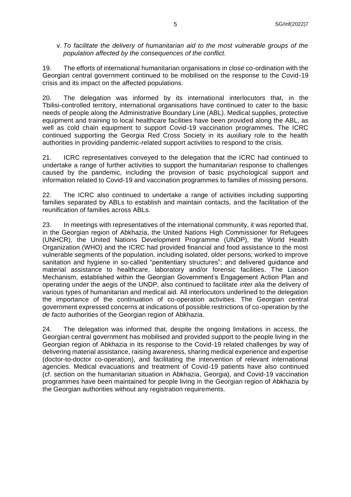### v. *To facilitate the delivery of humanitarian aid to the most vulnerable groups of the population affected by the consequences of the conflict.*

19. The efforts of international humanitarian organisations in close co-ordination with the Georgian central government continued to be mobilised on the response to the Covid-19 crisis and its impact on the affected populations.

20. The delegation was informed by its international interlocutors that, in the Tbilisi-controlled territory, international organisations have continued to cater to the basic needs of people along the Administrative Boundary Line (ABL). Medical supplies, protective equipment and training to local healthcare facilities have been provided along the ABL, as well as cold chain equipment to support Covid-19 vaccination programmes. The ICRC continued supporting the Georgia Red Cross Society in its auxiliary role to the health authorities in providing pandemic-related support activities to respond to the crisis.

21. ICRC representatives conveyed to the delegation that the ICRC had continued to undertake a range of further activities to support the humanitarian response to challenges caused by the pandemic, including the provision of basic psychological support and information related to Covid-19 and vaccination programmes to families of missing persons.

22. The ICRC also continued to undertake a range of activities including supporting families separated by ABLs to establish and maintain contacts, and the facilitation of the reunification of families across ABLs.

23. In meetings with representatives of the international community, it was reported that, in the Georgian region of Abkhazia, the United Nations High Commissioner for Refugees (UNHCR), the United Nations Development Programme (UNDP), the World Health Organization (WHO) and the ICRC had provided financial and food assistance to the most vulnerable segments of the population, including isolated, older persons; worked to improve sanitation and hygiene in so-called "penitentiary structures"; and delivered guidance and material assistance to healthcare, laboratory and/or forensic facilities. The Liaison Mechanism, established within the Georgian Government's Engagement Action Plan and operating under the aegis of the UNDP, also continued to facilitate *inter alia* the delivery of various types of humanitarian and medical aid. All interlocutors underlined to the delegation the importance of the continuation of co-operation activities. The Georgian central government expressed concerns at indications of possible restrictions of co-operation by the *de facto* authorities of the Georgian region of Abkhazia.

24. The delegation was informed that, despite the ongoing limitations in access, the Georgian central government has mobilised and provided support to the people living in the Georgian region of Abkhazia in its response to the Covid-19 related challenges by way of delivering material assistance, raising awareness, sharing medical experience and expertise (doctor-to-doctor co-operation), and facilitating the intervention of relevant international agencies. Medical evacuations and treatment of Covid-19 patients have also continued (cf. section on the humanitarian situation in Abkhazia, Georgia), and Covid-19 vaccination programmes have been maintained for people living in the Georgian region of Abkhazia by the Georgian authorities without any registration requirements.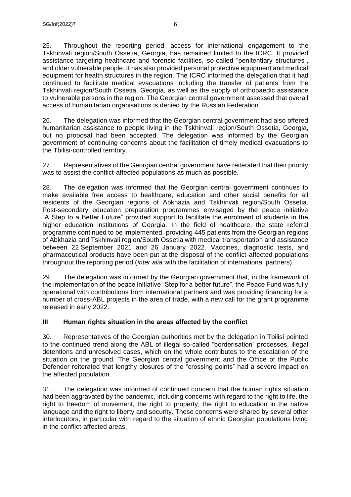25. Throughout the reporting period, access for international engagement to the Tskhinvali region/South Ossetia, Georgia, has remained limited to the ICRC. It provided assistance targeting healthcare and forensic facilities, so-called "penitentiary structures", and older vulnerable people. It has also provided personal protective equipment and medical equipment for health structures in the region. The ICRC informed the delegation that it had continued to facilitate medical evacuations including the transfer of patients from the Tskhinvali region/South Ossetia, Georgia, as well as the supply of orthopaedic assistance to vulnerable persons in the region. The Georgian central government assessed that overall access of humanitarian organisations is denied by the Russian Federation.

26. The delegation was informed that the Georgian central government had also offered humanitarian assistance to people living in the Tskhinvali region/South Ossetia, Georgia, but no proposal had been accepted. The delegation was informed by the Georgian government of continuing concerns about the facilitation of timely medical evacuations to the Tbilisi-controlled territory.

27. Representatives of the Georgian central government have reiterated that their priority was to assist the conflict-affected populations as much as possible.

28. The delegation was informed that the Georgian central government continues to make available free access to healthcare, education and other social benefits for all residents of the Georgian regions of Abkhazia and Tskhinvali region/South Ossetia. Post-secondary education preparation programmes envisaged by the peace initiative "A Step to a Better Future" provided support to facilitate the enrolment of students in the higher education institutions of Georgia. In the field of healthcare, the state referral programme continued to be implemented, providing 445 patients from the Georgian regions of Abkhazia and Tskhinvali region/South Ossetia with medical transportation and assistance between 22 September 2021 and 26 January 2022. Vaccines, diagnostic tests, and pharmaceutical products have been put at the disposal of the conflict-affected populations throughout the reporting period (*inter alia* with the facilitation of international partners).

29. The delegation was informed by the Georgian government that, in the framework of the implementation of the peace initiative "Step for a better future", the Peace Fund was fully operational with contributions from international partners and was providing financing for a number of cross-ABL projects in the area of trade, with a new call for the grant programme released in early 2022.

## **III Human rights situation in the areas affected by the conflict**

30. Representatives of the Georgian authorities met by the delegation in Tbilisi pointed to the continued trend along the ABL of illegal so-called "borderisation" processes, illegal detentions and unresolved cases, which on the whole contributes to the escalation of the situation on the ground. The Georgian central government and the Office of the Public Defender reiterated that lengthy closures of the "crossing points" had a severe impact on the affected population.

31. The delegation was informed of continued concern that the human rights situation had been aggravated by the pandemic, including concerns with regard to the right to life, the right to freedom of movement, the right to property, the right to education in the native language and the right to liberty and security. These concerns were shared by several other interlocutors, in particular with regard to the situation of ethnic Georgian populations living in the conflict-affected areas.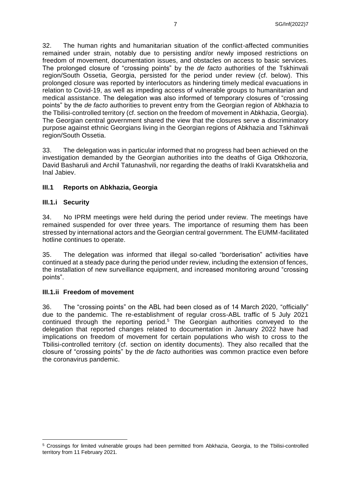32. The human rights and humanitarian situation of the conflict-affected communities remained under strain, notably due to persisting and/or newly imposed restrictions on freedom of movement, documentation issues, and obstacles on access to basic services. The prolonged closure of "crossing points" by the *de facto* authorities of the Tskhinvali region/South Ossetia, Georgia, persisted for the period under review (cf. below). This prolonged closure was reported by interlocutors as hindering timely medical evacuations in relation to Covid-19, as well as impeding access of vulnerable groups to humanitarian and medical assistance. The delegation was also informed of temporary closures of "crossing points" by the *de facto* authorities to prevent entry from the Georgian region of Abkhazia to the Tbilisi-controlled territory (cf. section on the freedom of movement in Abkhazia, Georgia). The Georgian central government shared the view that the closures serve a discriminatory purpose against ethnic Georgians living in the Georgian regions of Abkhazia and Tskhinvali region/South Ossetia.

33. The delegation was in particular informed that no progress had been achieved on the investigation demanded by the Georgian authorities into the deaths of Giga Otkhozoria, David Basharuli and Archil Tatunashvili, nor regarding the deaths of Irakli Kvaratskhelia and Inal Jabiev.

### **III.1 Reports on Abkhazia, Georgia**

### **III.1.i Security**

34. No IPRM meetings were held during the period under review. The meetings have remained suspended for over three years. The importance of resuming them has been stressed by international actors and the Georgian central government. The EUMM-facilitated hotline continues to operate.

35. The delegation was informed that illegal so-called "borderisation" activities have continued at a steady pace during the period under review, including the extension of fences, the installation of new surveillance equipment, and increased monitoring around "crossing points".

#### **III.1.ii Freedom of movement**

36. The "crossing points" on the ABL had been closed as of 14 March 2020, "officially" due to the pandemic. The re-establishment of regular cross-ABL traffic of 5 July 2021 continued through the reporting period.<sup>5</sup> The Georgian authorities conveyed to the delegation that reported changes related to documentation in January 2022 have had implications on freedom of movement for certain populations who wish to cross to the Tbilisi-controlled territory (cf. section on identity documents). They also recalled that the closure of "crossing points" by the *de facto* authorities was common practice even before the coronavirus pandemic.

<sup>5</sup> Crossings for limited vulnerable groups had been permitted from Abkhazia, Georgia, to the Tbilisi-controlled territory from 11 February 2021.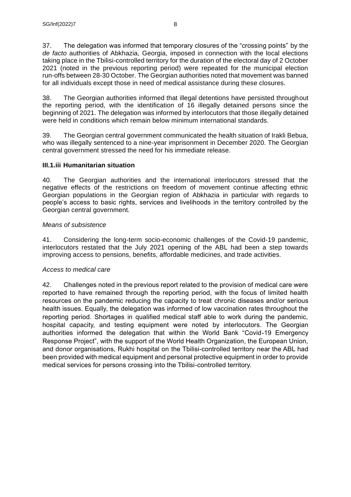37. The delegation was informed that temporary closures of the "crossing points" by the *de facto* authorities of Abkhazia, Georgia, imposed in connection with the local elections taking place in the Tbilisi-controlled territory for the duration of the electoral day of 2 October 2021 (noted in the previous reporting period) were repeated for the municipal election run-offs between 28-30 October. The Georgian authorities noted that movement was banned for all individuals except those in need of medical assistance during these closures.

38. The Georgian authorities informed that illegal detentions have persisted throughout the reporting period, with the identification of 16 illegally detained persons since the beginning of 2021. The delegation was informed by interlocutors that those illegally detained were held in conditions which remain below minimum international standards.

39. The Georgian central government communicated the health situation of Irakli Bebua, who was illegally sentenced to a nine-year imprisonment in December 2020. The Georgian central government stressed the need for his immediate release.

# **III.1.iii Humanitarian situation**

40. The Georgian authorities and the international interlocutors stressed that the negative effects of the restrictions on freedom of movement continue affecting ethnic Georgian populations in the Georgian region of Abkhazia in particular with regards to people's access to basic rights, services and livelihoods in the territory controlled by the Georgian central government.

## *Means of subsistence*

41. Considering the long-term socio-economic challenges of the Covid-19 pandemic, interlocutors restated that the July 2021 opening of the ABL had been a step towards improving access to pensions, benefits, affordable medicines, and trade activities.

## *Access to medical care*

42. Challenges noted in the previous report related to the provision of medical care were reported to have remained through the reporting period, with the focus of limited health resources on the pandemic reducing the capacity to treat chronic diseases and/or serious health issues. Equally, the delegation was informed of low vaccination rates throughout the reporting period. Shortages in qualified medical staff able to work during the pandemic, hospital capacity, and testing equipment were noted by interlocutors. The Georgian authorities informed the delegation that within the World Bank "Covid-19 Emergency Response Project", with the support of the World Health Organization, the European Union, and donor organisations, Rukhi hospital on the Tbilisi-controlled territory near the ABL had been provided with medical equipment and personal protective equipment in order to provide medical services for persons crossing into the Tbilisi-controlled territory.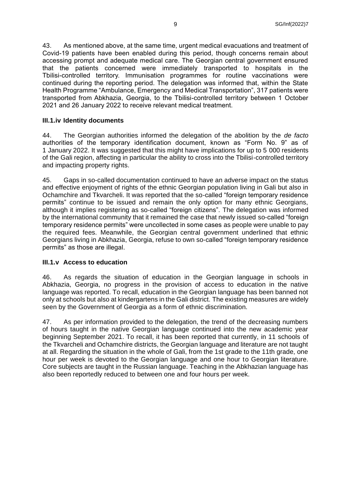43. As mentioned above, at the same time, urgent medical evacuations and treatment of Covid-19 patients have been enabled during this period, though concerns remain about accessing prompt and adequate medical care. The Georgian central government ensured that the patients concerned were immediately transported to hospitals in the Tbilisi-controlled territory. Immunisation programmes for routine vaccinations were continued during the reporting period. The delegation was informed that, within the State Health Programme "Ambulance, Emergency and Medical Transportation", 317 patients were transported from Abkhazia, Georgia, to the Tbilisi-controlled territory between 1 October 2021 and 26 January 2022 to receive relevant medical treatment.

### **III.1.iv Identity documents**

44. The Georgian authorities informed the delegation of the abolition by the *de facto*  authorities of the temporary identification document, known as "Form No. 9" as of 1 January 2022. It was suggested that this might have implications for up to 5 000 residents of the Gali region, affecting in particular the ability to cross into the Tbilisi-controlled territory and impacting property rights.

45. Gaps in so-called documentation continued to have an adverse impact on the status and effective enjoyment of rights of the ethnic Georgian population living in Gali but also in Ochamchire and Tkvarcheli. It was reported that the so-called "foreign temporary residence permits" continue to be issued and remain the only option for many ethnic Georgians, although it implies registering as so-called "foreign citizens". The delegation was informed by the international community that it remained the case that newly issued so-called "foreign temporary residence permits" were uncollected in some cases as people were unable to pay the required fees. Meanwhile, the Georgian central government underlined that ethnic Georgians living in Abkhazia, Georgia, refuse to own so-called "foreign temporary residence permits" as those are illegal.

#### **III.1.v Access to education**

46. As regards the situation of education in the Georgian language in schools in Abkhazia, Georgia, no progress in the provision of access to education in the native language was reported. To recall, education in the Georgian language has been banned not only at schools but also at kindergartens in the Gali district. The existing measures are widely seen by the Government of Georgia as a form of ethnic discrimination.

47. As per information provided to the delegation, the trend of the decreasing numbers of hours taught in the native Georgian language continued into the new academic year beginning September 2021. To recall, it has been reported that currently, in 11 schools of the Tkvarcheli and Ochamchire districts, the Georgian language and literature are not taught at all. Regarding the situation in the whole of Gali, from the 1st grade to the 11th grade, one hour per week is devoted to the Georgian language and one hour to Georgian literature. Core subjects are taught in the Russian language. Teaching in the Abkhazian language has also been reportedly reduced to between one and four hours per week.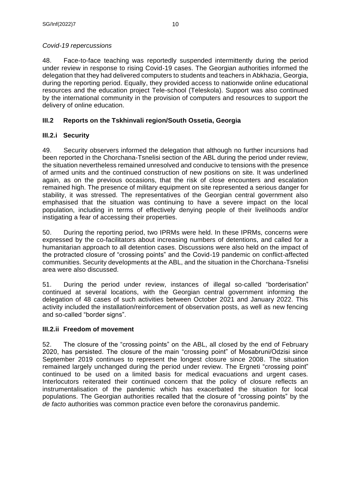# *Covid-19 repercussions*

48. Face-to-face teaching was reportedly suspended intermittently during the period under review in response to rising Covid-19 cases. The Georgian authorities informed the delegation that they had delivered computers to students and teachers in Abkhazia, Georgia, during the reporting period. Equally, they provided access to nationwide online educational resources and the education project Tele-school (Teleskola). Support was also continued by the international community in the provision of computers and resources to support the delivery of online education.

# **III.2 Reports on the Tskhinvali region/South Ossetia, Georgia**

# **III.2.i Security**

49. Security observers informed the delegation that although no further incursions had been reported in the Chorchana-Tsnelisi section of the ABL during the period under review, the situation nevertheless remained unresolved and conducive to tensions with the presence of armed units and the continued construction of new positions on site. It was underlined again, as on the previous occasions, that the risk of close encounters and escalation remained high. The presence of military equipment on site represented a serious danger for stability, it was stressed. The representatives of the Georgian central government also emphasised that the situation was continuing to have a severe impact on the local population, including in terms of effectively denying people of their livelihoods and/or instigating a fear of accessing their properties.

50. During the reporting period, two IPRMs were held. In these IPRMs, concerns were expressed by the co-facilitators about increasing numbers of detentions, and called for a humanitarian approach to all detention cases. Discussions were also held on the impact of the protracted closure of "crossing points" and the Covid-19 pandemic on conflict-affected communities. Security developments at the ABL, and the situation in the Chorchana-Tsnelisi area were also discussed.

51. During the period under review, instances of illegal so-called "borderisation" continued at several locations, with the Georgian central government informing the delegation of 48 cases of such activities between October 2021 and January 2022. This activity included the installation/reinforcement of observation posts, as well as new fencing and so-called "border signs".

# **III.2.ii Freedom of movement**

52. The closure of the "crossing points" on the ABL, all closed by the end of February 2020, has persisted. The closure of the main "crossing point" of Mosabruni/Odzisi since September 2019 continues to represent the longest closure since 2008. The situation remained largely unchanged during the period under review. The Ergneti "crossing point" continued to be used on a limited basis for medical evacuations and urgent cases. Interlocutors reiterated their continued concern that the policy of closure reflects an instrumentalisation of the pandemic which has exacerbated the situation for local populations. The Georgian authorities recalled that the closure of "crossing points" by the *de facto* authorities was common practice even before the coronavirus pandemic.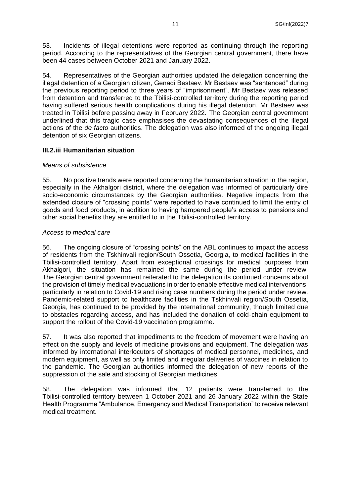53. Incidents of illegal detentions were reported as continuing through the reporting period. According to the representatives of the Georgian central government, there have been 44 cases between October 2021 and January 2022.

54. Representatives of the Georgian authorities updated the delegation concerning the illegal detention of a Georgian citizen, Genadi Bestaev. Mr Bestaev was "sentenced" during the previous reporting period to three years of "imprisonment". Mr Bestaev was released from detention and transferred to the Tbilisi-controlled territory during the reporting period having suffered serious health complications during his illegal detention. Mr Bestaev was treated in Tbilisi before passing away in February 2022. The Georgian central government underlined that this tragic case emphasises the devastating consequences of the illegal actions of the *de facto* authorities. The delegation was also informed of the ongoing illegal detention of six Georgian citizens.

## **III.2.iii Humanitarian situation**

#### *Means of subsistence*

55. No positive trends were reported concerning the humanitarian situation in the region, especially in the Akhalgori district, where the delegation was informed of particularly dire socio-economic circumstances by the Georgian authorities. Negative impacts from the extended closure of "crossing points" were reported to have continued to limit the entry of goods and food products, in addition to having hampered people's access to pensions and other social benefits they are entitled to in the Tbilisi-controlled territory.

#### *Access to medical care*

56. The ongoing closure of "crossing points" on the ABL continues to impact the access of residents from the Tskhinvali region/South Ossetia, Georgia, to medical facilities in the Tbilisi-controlled territory. Apart from exceptional crossings for medical purposes from Akhalgori, the situation has remained the same during the period under review. The Georgian central government reiterated to the delegation its continued concerns about the provision of timely medical evacuations in order to enable effective medical interventions, particularly in relation to Covid-19 and rising case numbers during the period under review. Pandemic-related support to healthcare facilities in the Tskhinvali region/South Ossetia, Georgia, has continued to be provided by the international community, though limited due to obstacles regarding access, and has included the donation of cold-chain equipment to support the rollout of the Covid-19 vaccination programme.

57. It was also reported that impediments to the freedom of movement were having an effect on the supply and levels of medicine provisions and equipment. The delegation was informed by international interlocutors of shortages of medical personnel, medicines, and modern equipment, as well as only limited and irregular deliveries of vaccines in relation to the pandemic. The Georgian authorities informed the delegation of new reports of the suppression of the sale and stocking of Georgian medicines.

58. The delegation was informed that 12 patients were transferred to the Tbilisi-controlled territory between 1 October 2021 and 26 January 2022 within the State Health Programme "Ambulance, Emergency and Medical Transportation" to receive relevant medical treatment.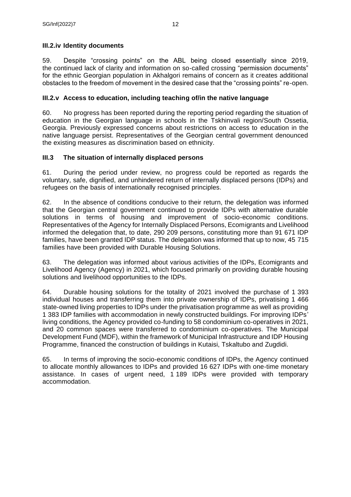# **III.2.iv Identity documents**

59. Despite "crossing points" on the ABL being closed essentially since 2019, the continued lack of clarity and information on so-called crossing "permission documents" for the ethnic Georgian population in Akhalgori remains of concern as it creates additional obstacles to the freedom of movement in the desired case that the "crossing points" re-open.

# **III.2.v Access to education, including teaching of/in the native language**

60. No progress has been reported during the reporting period regarding the situation of education in the Georgian language in schools in the Tskhinvali region/South Ossetia, Georgia. Previously expressed concerns about restrictions on access to education in the native language persist. Representatives of the Georgian central government denounced the existing measures as discrimination based on ethnicity.

# **III.3 The situation of internally displaced persons**

61. During the period under review, no progress could be reported as regards the voluntary, safe, dignified, and unhindered return of internally displaced persons (IDPs) and refugees on the basis of internationally recognised principles.

62. In the absence of conditions conducive to their return, the delegation was informed that the Georgian central government continued to provide IDPs with alternative durable solutions in terms of housing and improvement of socio-economic conditions. Representatives of the Agency for Internally Displaced Persons, Ecomigrants and Livelihood informed the delegation that, to date, 290 209 persons, constituting more than 91 671 IDP families, have been granted IDP status. The delegation was informed that up to now, 45 715 families have been provided with Durable Housing Solutions.

63. The delegation was informed about various activities of the IDPs, Ecomigrants and Livelihood Agency (Agency) in 2021, which focused primarily on providing durable housing solutions and livelihood opportunities to the IDPs.

64. Durable housing solutions for the totality of 2021 involved the purchase of 1 393 individual houses and transferring them into private ownership of IDPs, privatising 1 466 state-owned living properties to IDPs under the privatisation programme as well as providing 1 383 IDP families with accommodation in newly constructed buildings. For improving IDPs' living conditions, the Agency provided co-funding to 58 condominium co-operatives in 2021, and 20 common spaces were transferred to condominium co-operatives. The Municipal Development Fund (MDF), within the framework of Municipal Infrastructure and IDP Housing Programme, financed the construction of buildings in Kutaisi, Tskaltubo and Zugdidi.

65. In terms of improving the socio-economic conditions of IDPs, the Agency continued to allocate monthly allowances to IDPs and provided 16 627 IDPs with one-time monetary assistance. In cases of urgent need, 1 189 IDPs were provided with temporary accommodation.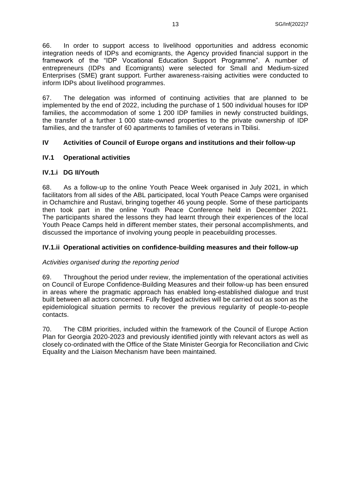66. In order to support access to livelihood opportunities and address economic integration needs of IDPs and ecomigrants, the Agency provided financial support in the framework of the "IDP Vocational Education Support Programme". A number of entrepreneurs (IDPs and Ecomigrants) were selected for Small and Medium-sized Enterprises (SME) grant support. Further awareness-raising activities were conducted to inform IDPs about livelihood programmes.

67. The delegation was informed of continuing activities that are planned to be implemented by the end of 2022, including the purchase of 1 500 individual houses for IDP families, the accommodation of some 1 200 IDP families in newly constructed buildings, the transfer of a further 1 000 state-owned properties to the private ownership of IDP families, and the transfer of 60 apartments to families of veterans in Tbilisi.

## **IV Activities of Council of Europe organs and institutions and their follow-up**

### **IV.1 Operational activities**

### **IV.1.i DG II/Youth**

68. As a follow-up to the online Youth Peace Week organised in July 2021, in which facilitators from all sides of the ABL participated, local Youth Peace Camps were organised in Ochamchire and Rustavi, bringing together 46 young people. Some of these participants then took part in the online Youth Peace Conference held in December 2021. The participants shared the lessons they had learnt through their experiences of the local Youth Peace Camps held in different member states, their personal accomplishments, and discussed the importance of involving young people in peacebuilding processes.

### **IV.1.ii Operational activities on confidence-building measures and their follow-up**

#### *Activities organised during the reporting period*

69. Throughout the period under review, the implementation of the operational activities on Council of Europe Confidence-Building Measures and their follow-up has been ensured in areas where the pragmatic approach has enabled long-established dialogue and trust built between all actors concerned. Fully fledged activities will be carried out as soon as the epidemiological situation permits to recover the previous regularity of people-to-people contacts.

70. The CBM priorities, included within the framework of the Council of Europe Action Plan for Georgia 2020-2023 and previously identified jointly with relevant actors as well as closely co-ordinated with the Office of the State Minister Georgia for Reconciliation and Civic Equality and the Liaison Mechanism have been maintained.